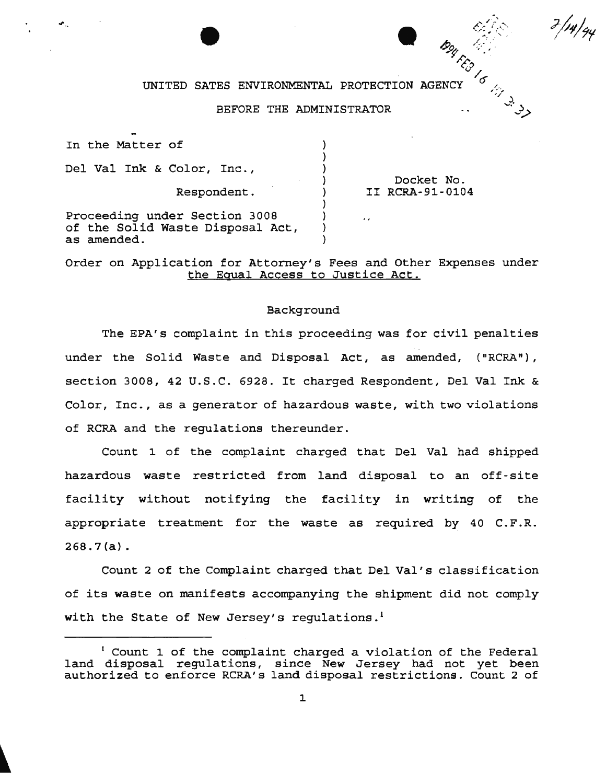## UNITED SATES ENVIRONMENTAL PROTECTION AGENCY  $\begin{bmatrix} 0 & \cdots & 0 \end{bmatrix}$

**b**y  $\mathscr{L}$  .

' C/P

 $\mathscr{E}_{\diagup}$ 

بر بزر<br>. د *.... :.>*   $3/14/gy$ 

#### BEFORE THE ADMINISTRATOR

In the Matter of ) ) Del Val Ink & Color, Inc., ) Docket No. ) Respondent. II RCRA-91-0104 ) ) Proceeding under Section 3008 )  $\lambda$ 

of the Solid Waste Disposal Act,

as amended.

Order on Application for Attorney's Fees and Other Expenses under the Equal Access to Justice Act.

) )

#### Background

The EPA's complaint in this proceeding was for civil penalties under the Solid Waste and Disposal Act, as amended, ("RCRA"), section 3008, 42 U.S.C. 6928. It charged Respondent, Del Val Ink & Color, Inc., as a generator of hazardous waste, with two violations of RCRA and the regulations thereunder.

Count 1 of the complaint charged that Del Val had shipped hazardous waste restricted from land disposal to an off-site facility without notifying the facility in writing of the appropriate treatment for the waste as required by 40  $C.F.R.$ 268.7 (a} .

Count 2 of the Complaint charged that Del Val's classification of its waste on manifests accompanying the shipment did not comply with the State of New Jersey's regulations.<sup>1</sup>

<sup>&</sup>lt;sup>1</sup> Count 1 of the complaint charged a violation of the Federal land disposal regulations, since New Jersey had not yet been authorized to enforce RCRA's land disposal restrictions. Count 2 of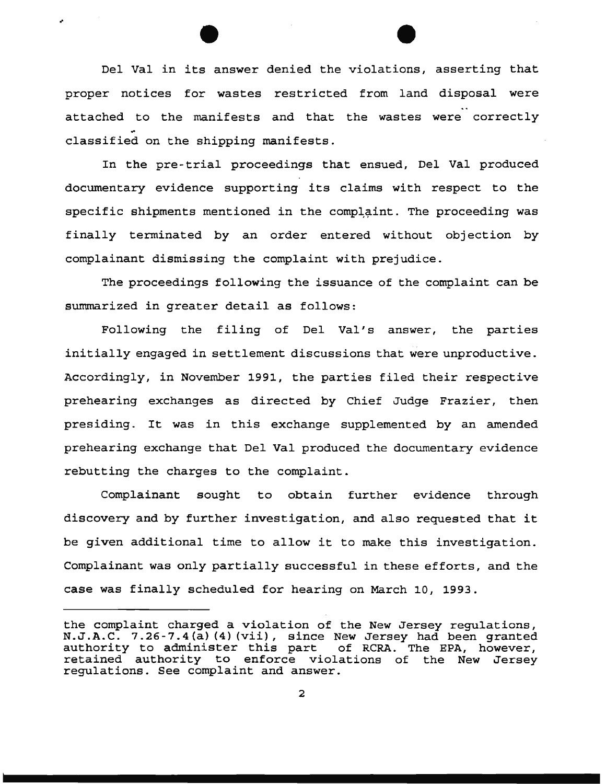Del Val in its answer denied the violations, asserting that proper notices for wastes restricted from land disposal were attached to the manifests and that the wastes were correctly classified on the shipping manifests.

..

In the pre-trial proceedings that ensued, Del Val produced documentary evidence supporting its claims with respect to the specific shipments mentioned in the complaint. The proceeding was finally terminated by an order entered without objection by complainant dismissing the complaint with prejudice.

The proceedings following the issuance of the complaint can be summarized in greater detail as follows:

Following the filing of Del Val's answer, the parties initially engaged in settlement discussions that were unproductive. Accordingly, in November 1991, the parties filed their respective prehearing exchanges as directed by Chief Judge Frazier, then presiding. It was in this exchange supplemented by an amended prehearing exchange that Del Val produced the documentary evidence rebutting the charges to the complaint.

Complainant sought to obtain further evidence through discovery and by further investigation, and also requested that it be given additional time to allow it to make this investigation. Complainant was only partially successful in these efforts, and the case was finally scheduled for hearing on March 10, 1993.

the complaint charged a violation of the New Jersey regulations, N.J.A.C. 7.26-7.4(a) (4) (vii), since New Jersey had been granted Altrich will be a controlled the series of the series of the evaluation of  $RCRA$ . The EPA, however, authority to duminister this part of ReMA: The HAM, However, regulations. See complaint and answer.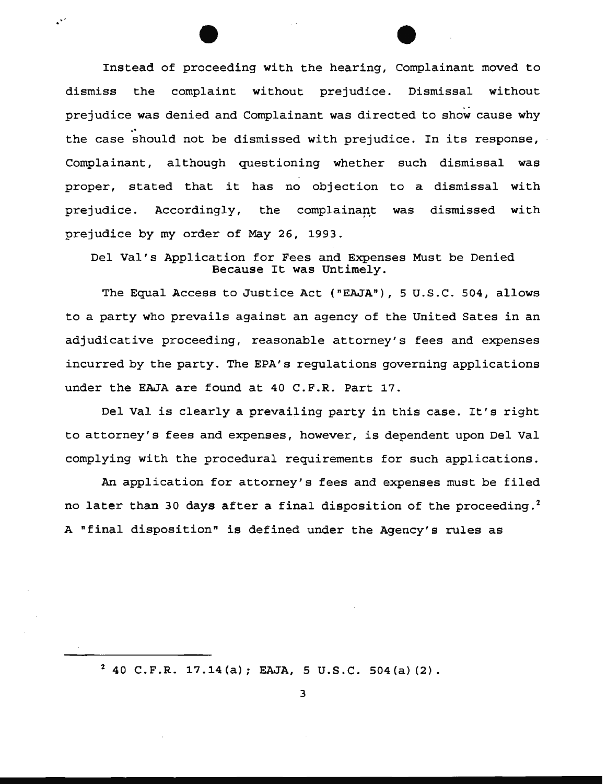Instead of proceeding with the hearing, Complainant moved to dismiss the complaint without prejudice. Dismissal without prejudice was denied and Complainant was directed to show cause why the case should not be dismissed with prejudice. In its response, Complainant, although questioning whether such dismissal was proper, stated that it has no objection to a dismissal with prejudice. Accordingly, the complainant was dismissed with prejudice by my order of May 26, 1993.

 $\mathbb{R}^2$ 

Del Val's Application for Fees and Expenses Must be Denied Because It was Untimely.

The Equal Access to Justice Act ("EAJA"), 5 U.S.C. 504, allows to a party who prevails against an agency of the United Sates in an adjudicative proceeding, reasonable attorney's fees and expenses incurred by the party. The EPA's regulations governing applications under the EAJA are found at 40 C.F.R. Part 17.

Del Val is clearly a prevailing party in this case. It's right to attorney's fees and expenses, however, is dependent upon Del Val complying with the procedural requirements for such applications.

An application for attorney's fees and expenses must be filed no later than 30 days after a final disposition of the proceeding.<sup>2</sup> A "final disposition" is defined under the Agency's rules as

 $2$  40 C.F.R. 17.14(a); EAJA, 5 U.S.C. 504(a)(2).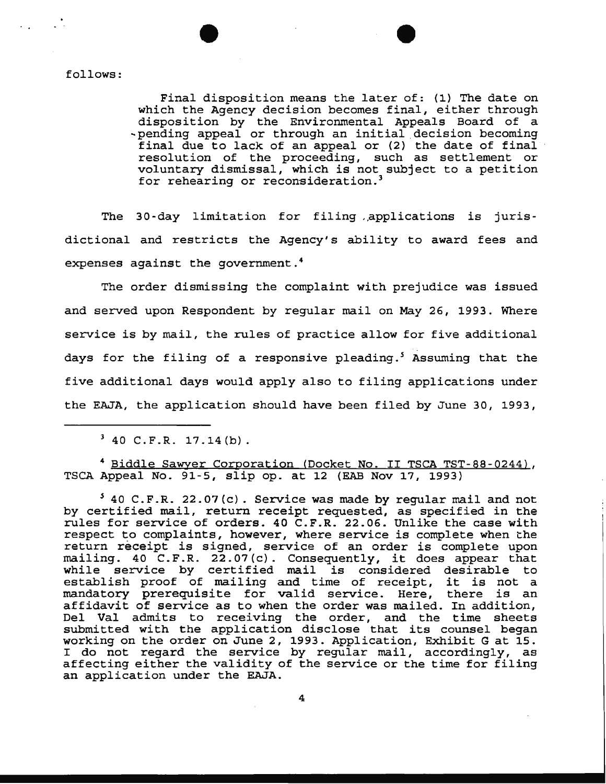follows:

Final disposition means the later of: (1) The date on which the Agency decision becomes final, either through disposition by the Environmental Appeals Board of a ~pending appeal or through an initial .decision becoming final due to lack of an appeal or (2) the date of final resolution of the proceeding, such as settlement or voluntary dismissal, which is not subject to a petition for rehearing or reconsideration.<sup>3</sup>

The 30-day limitation for filing .,applications is jurisdictional and restricts the Agency's ability to award fees and expenses against the government. <sup>4</sup>

The order dismissing the complaint with prejudice was issued and served upon Respondent by regular mail on May 26, 1993. Where service is by mail, the rules of practice allow for five additional days for the filing of a responsive pleading.<sup>5</sup> Assuming that the five additional days would apply also to filing applications under the EAJA, the application should have been filed by June 30, 1993,

<sup>4</sup> Biddle Sawyer Corporation (Docket No. II TSCA TST-88-0244), TSCA Appeal No. 91-5, slip op. at 12 (EAB Nov 17, 1993)

*<sup>5</sup>*40 C.F.R. 22.07(c). Service was made by regular mail and not by certified mail, return receipt requested, as specified in the rules for service of orders. 40 C.F.R. 22.06. Unlike the case with respect to complaints, however, where service is complete when the return receipt is signed, service of an order is complete upon mailing. 40 C.F.R. 22.07(c). Consequently, it does appear that while service by certified mail is considered desirable to establish proof of mailing and time of receipt, it is not a mandatory prerequisite for valid service. Here, there is an affidavit of service as to when the order was mailed. In addition, Del Val admits to receiving the order, and the time sheets submitted with the application disclose that its counsel began working on the order on June 2, 1993. Application, Exhibit Gat 15. I do not regard the service by regular mail, accordingly, as affecting either the validity of the service or the time for filing an application under the EAJA.

4

 $3$  40 C.F.R. 17.14(b).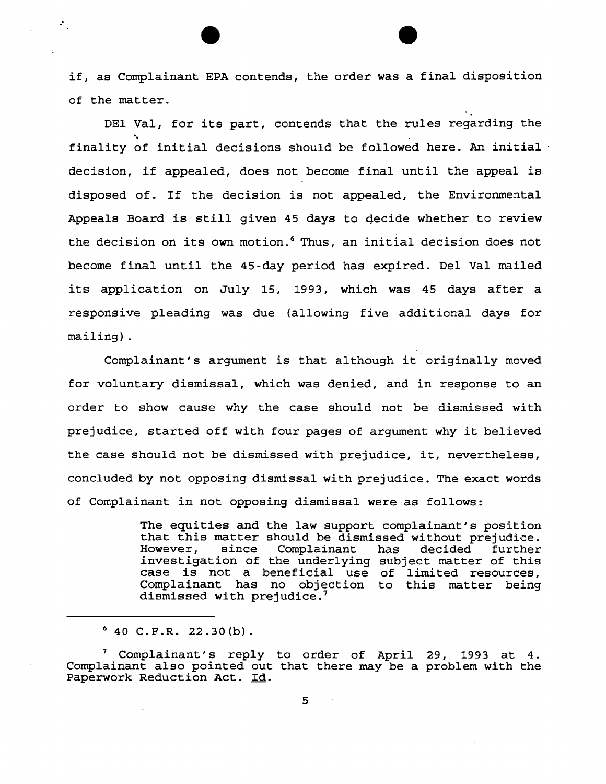if, as Complainant EPA contends, the order was a final disposition of the matter.

DEl Val, for its part, contends that the rules regarding the<br>...<br>finality of initial decisions should be followed here. An initial decision, if appealed, does not become final until the appeal is disposed of. If the decision is not appealed, the Environmental Appeals Board is still given 45 days to qecide whether to review the decision on its own motion.<sup>6</sup> Thus, an initial decision does not become final until the 45-day period has expired. Del Val mailed its application on July 15, 1993, which was 45 days after a responsive pleading was due (allowing five additional days for mailing) .

Complainant's argument is that although it originally moved for voluntary dismissal, which was denied, and in response to an order to show cause why the case should not be dismissed with prejudice, started off with four pages of argument why it believed the case should not be dismissed with prejudice, it, nevertheless, concluded by not opposing dismissal with prejudice. The exact words of Complainant in not opposing dismissal were as follows:

> The equities and the law support complainant's position that this matter should be dismissed without prejudice. However, since Complainant has decided further investigation of the underlying subject matter of this case is not a beneficial use of limited resources, Complainant has no objection to this matter being dismissed with prejudice.<sup>7</sup>

 $640$  C.F.R. 22.30(b).

.·

 $<sup>7</sup>$  Complainant's reply to order of April 29, 1993 at 4.</sup> Complainant also pointed out that there may be a problem with the Paperwork Reduction Act. Id.

 $\sim$   $\sim$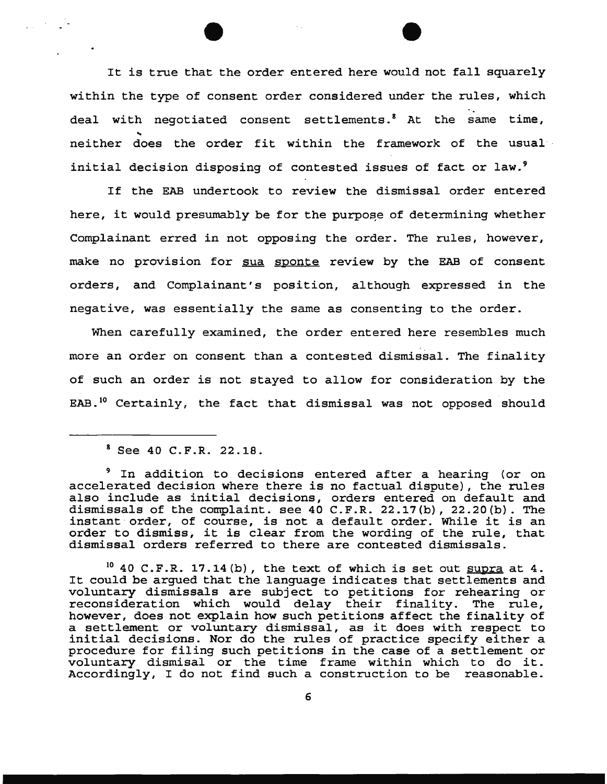It is true that the order entered here would not fall squarely within the type of consent order considered under the rules, which deal with negotiated consent settlements.<sup>8</sup> At the same time,<br>neither does the order fit within the framework of the usual initial decision disposing of contested issues of fact or law.<sup>9</sup>

If the EAB undertook to review the dismissal order entered here, it would presumably be for the purpose of determining whether Complainant erred in not opposing the order. The rules, however, make no provision for sua sponte review by the EAB of consent orders, and Complainant's position, although expressed in the negative, was essentially the same as consenting to the order.

When carefully examined, the order entered here resembles much more an order on consent than a contested dismissal. The finality of such an order is not stayed to allow for consideration by the EAB.<sup>10</sup> Certainly, the fact that dismissal was not opposed should

 $10$  40 C.F.R. 17.14(b), the text of which is set out supra at 4. It could be argued that the language indicates that settlements and voluntary dismissals are subject to petitions for rehearing or reconsideration which would delay their finality. The rule, however, does not explain how such petitions affect the finality of a settlement or voluntary dismissal, as it does with respect to initial decisions. Nor do the rules of practice specify either a procedure for filing such petitions in the case of a settlement or voluntary dismisal or the time frame within which to do it. Accordingly, I do not find such a construction to be reasonable.

<sup>8</sup> See 40 C.F.R. 22.18.

<sup>&</sup>lt;sup>9</sup> In addition to decisions entered after a hearing (or on accelerated decision where there is no factual dispute), the rules also include as initial decisions, orders entered on default and dismissals of the complaint. see 40 C.F.R. 22.17(b), 22.20(b). The instant order, of course, is not a default order. While it is an order to dismiss, it is clear from the wording of the rule, that dismissal orders referred to there are contested dismissals.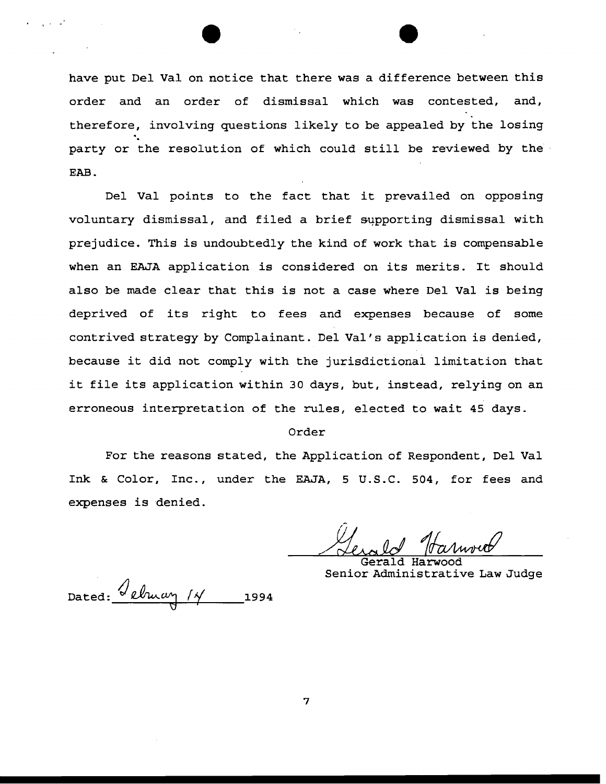have put Del Val on notice that there was a difference between this order and an order of dismissal which was contested, and, . therefore, involving questions likely to be appealed by the losing party or the resolution of which could still be reviewed by the EAB.

Del Val points to the fact that it prevailed on opposing voluntary dismissal, and filed a brief supporting dismissal with prejudice. This is undoubtedly the kind of work that is compensable when an EAJA application is considered on its merits. It should also be made clear that this is not a case where Del Val is being deprived of its right to fees and expenses because of some contrived strategy by Complainant. Del Val's application is denied, because it did not comply with the jurisdictional limitation that it file its application within 30 days, but, instead, relying on an erroneous interpretation of the rules, elected to wait 45 days.

### Order

For the reasons stated, the Application of Respondent, Del Val Ink & Color, Inc., under the EAJA, 5 U.S.C. 504, for fees and expenses is denied.

Gerald Harwood Senior Administrative Law Judge

Dated:  $\sqrt{\ell \ln \frac{\alpha \gamma}{\ell}}$  1994